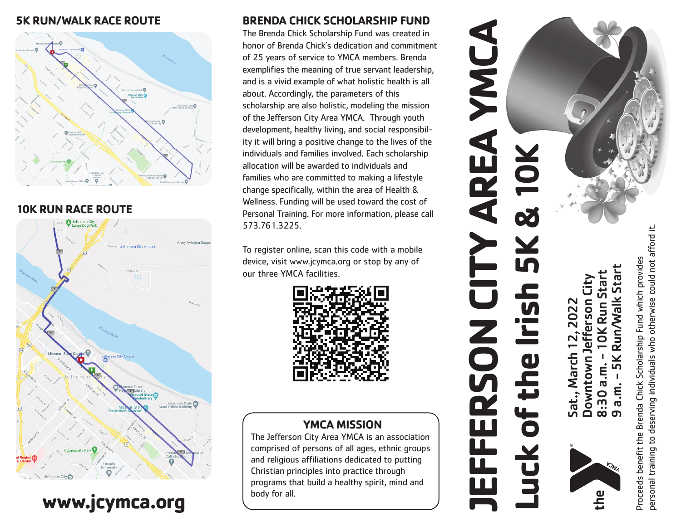#### **5K RUN/WALK RACE ROUTE**



#### **10K RUN RACE ROUTE**



# **www.jcymca.org**

#### **BRENDA CHICK SCHOLARSHIP FUND**

The Brenda Chick Scholarship Fund was created in honor of Brenda Chick's dedication and commitment of 25 years of service to YMCA members. Brenda exemplifies the meaning of true servant leadership, and is a vivid example of what holistic health is all about. Accordingly, the parameters of this scholarship are also holistic, modeling the mission of the Jefferson City Area YMCA. Through youth development, healthy living, and social responsibil ity it will bring a positive change to the lives of the individuals and families involved. Each scholarship allocation will be awarded to individuals and families who are committed to making a lifestyle change specifically, within the area of Health & Wellness. Funding will be used toward the cost of Personal Training. For more information, please call 573.761.3225.

To register online, scan this code with a mobile device, visit www.jcymca.org or stop by any of our three YMCA facilities.



#### **YMCA MISSION**

The Jefferson City Area YMCA is an association comprised of persons of all ages, ethnic groups and religious affiliations dedicated to putting Christian principles into practice through programs that build a healthy spirit, mind and body for all.

# **JEFFERSON CITY AREA YMCA** S XX REA **Luck of the Irish 5K & 10K** 9 a.m. - 5K Run/Walk Start Start 8:30 a.m. - 10K Run Start Start Downtown Jefferson City efferson City **Walk** 2022 Sat., March 12, 2022 **Run**  $\overline{2}$ of the March Downtown <u>ក</u>េ Sat.,  $\overline{\mathbf{5}}$ ှက် ကို  $\overline{\mathbf{u}}$ <u>ud</u>

personal training to deserving individuals who otherwise could not afford it. bersonal training to deserving individuals who otherwise could not afford it. Proceeds benefit the Brenda Chick Scholarship Fund which provides Scholarship Fund which provides Proceeds benefit the Brenda Chick